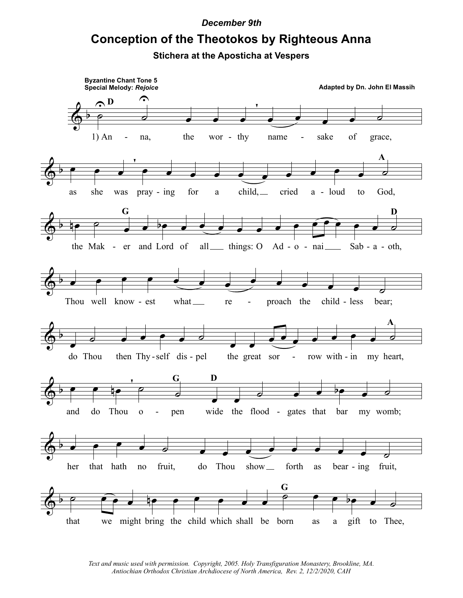## *December 9th*

## **Conception of the Theotokos by Righteous Anna**

**Stichera at the Aposticha at Vespers**



*Text and music used with permission. Copyright, 2005. Holy Transfiguration Monastery, Brookline, MA. Antiochian Orthodox Christian Archdiocese of North America, Rev. 2, 12/2/2020, CAH*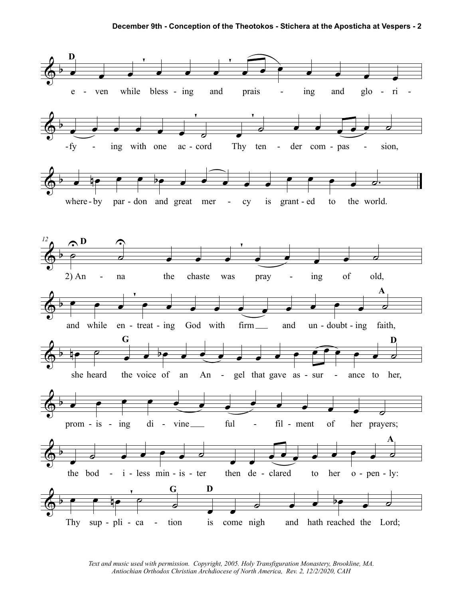

Text and music used with permission. Copyright, 2005. Holy Transfiguration Monastery, Brookline, MA. Antiochian Orthodox Christian Archdiocese of North America, Rev. 2, 12/2/2020, CAH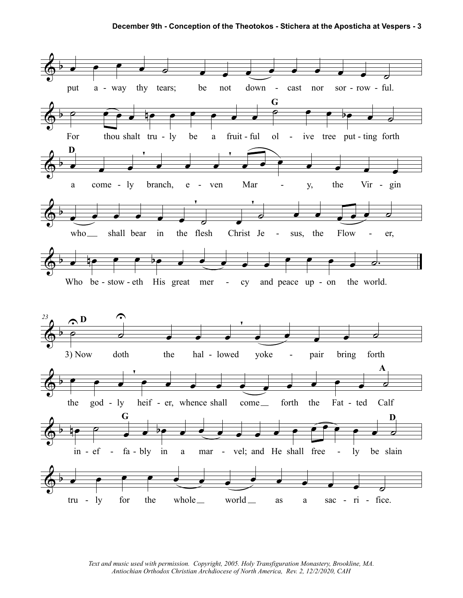

*Text and music used with permission. Copyright, 2005. Holy Transfiguration Monastery, Brookline, MA. Antiochian Orthodox Christian Archdiocese of North America, Rev. 2, 12/2/2020, CAH*